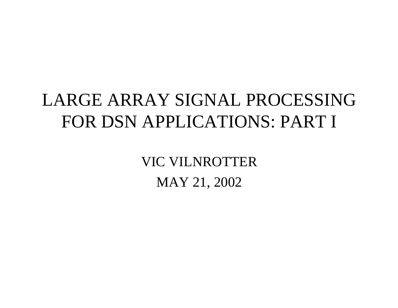# LARGE ARRAY SIGNAL PROCESSINGFOR DSN APPLICATIONS: PART I

VIC VILNROTTERMAY 21, 2002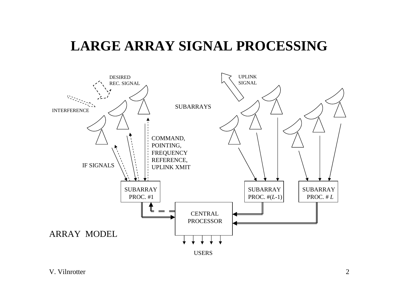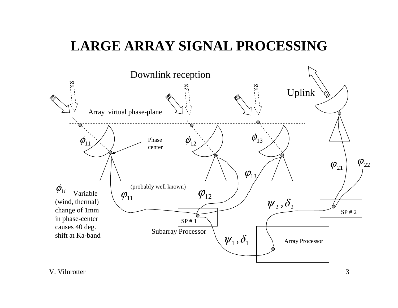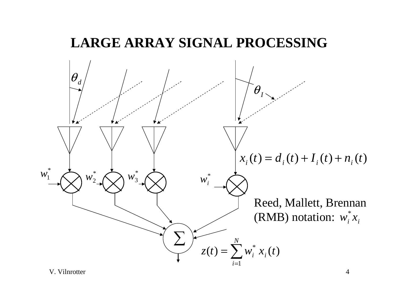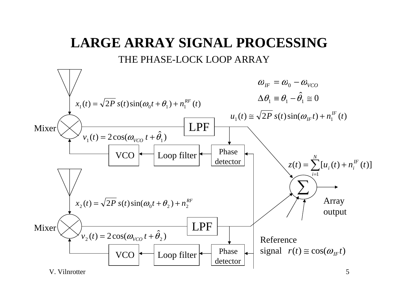## **LARGE ARRAY SIGNAL PROCESSING**THE PHASE-LOCK LOOP ARRAY

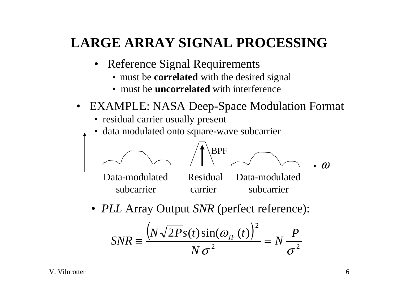- Reference Signal Requirements
	- must be **correlated** with the desired signal
	- must be **uncorrelated** with interference
- $\bullet$  EXAMPLE: NASA Deep-Space Modulation Format
	- residual carrier usually present
	- data modulated onto square-wave subcarrier



• *PLL* Array Output *SNR* (perfect reference):

$$
SNR \equiv \frac{\left(N\sqrt{2P}s(t)\sin(\omega_{IF}(t)\right)^2}{N\sigma^2} = N\frac{P}{\sigma^2}
$$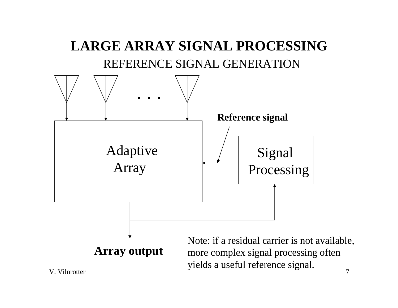

 $\sim$  7 more complex signal processing often yields a useful reference signal.

V. Vilnrotter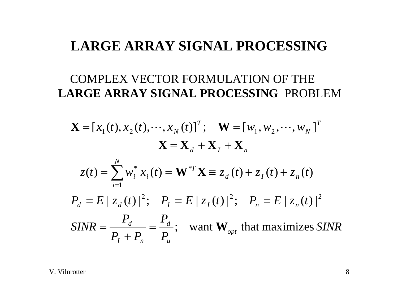#### COMPLEX VECTOR FORMULATION OF THE **LARGE ARRAY SIGNAL PROCESSING** PROBLEM

$$
\mathbf{X} = [x_1(t), x_2(t), \cdots, x_N(t)]^T; \quad \mathbf{W} = [w_1, w_2, \cdots, w_N]^T
$$

$$
\mathbf{X} = \mathbf{X}_d + \mathbf{X}_I + \mathbf{X}_n
$$

$$
z(t) = \sum_{i=1}^N w_i^* x_i(t) = \mathbf{W}^{*T} \mathbf{X} \equiv z_d(t) + z_I(t) + z_n(t)
$$

$$
P_d = E |z_d(t)|^2; \quad P_l = E |z_l(t)|^2; \quad P_n = E |z_n(t)|^2
$$

$$
SINR = \frac{P_d}{P_I + P_n} = \frac{P_d}{P_u}; \quad \text{want } \mathbf{W}_{opt} \text{ that maximizes } SINR
$$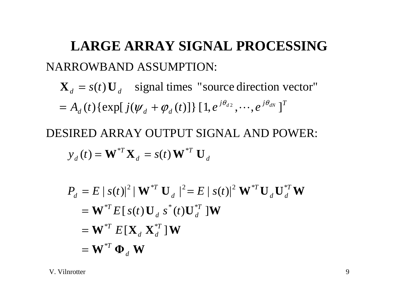**LARGE ARRAY SIGNAL PROCESSING**NARROWBAND ASSUMPTION:

 $j\theta_{d2}$   $j\theta_{dN}$   $T$  $d$  **d**  $\ell$  **d**  $\ell$  **d**  $\ell$  **d**  $\ell$  *d*  $d$  *d*  $d$  *d*  $d$  $\mathbf{X}_d = s(t) \mathbf{U}_d$  signal times "source direction vector"  $d = A_d(t) \{ \exp[j(\psi_d + \phi_d(t)] \} [1, e^{j\theta_{d2}}, \cdots, e^{j\theta_{dN}} ]$  $= A_d(t) \{ \exp[j(\psi_d + \phi_d(t)] \} [1, e^{j \phi_d t}, \cdots]$ 

 $\mathbf{W}^{T} \mathbf{X}_{d} = s(t) \mathbf{W}^{T} \mathbf{U}_{d}$  $\boldsymbol{f}_d = s(t) \, \textbf{W}^{*T}$  $y_d(t) = \mathbf{W}^{*T} \mathbf{X}_d = s(t) \mathbf{W}^*$ DESIRED ARRAY OUTPUT SIGNAL AND POWER:

$$
P_d = E |s(t)|^2 | \mathbf{W}^{*T} \mathbf{U}_d |^2 = E |s(t)|^2 \mathbf{W}^{*T} \mathbf{U}_d \mathbf{U}_d^{*T} \mathbf{W}
$$
  
=  $\mathbf{W}^{*T} E [s(t) \mathbf{U}_d s^*(t) \mathbf{U}_d^{*T}] \mathbf{W}$   
=  $\mathbf{W}^{*T} E [\mathbf{X}_d \mathbf{X}_d^{*T}] \mathbf{W}$   
=  $\mathbf{W}^{*T} \mathbf{\Phi}_d \mathbf{W}$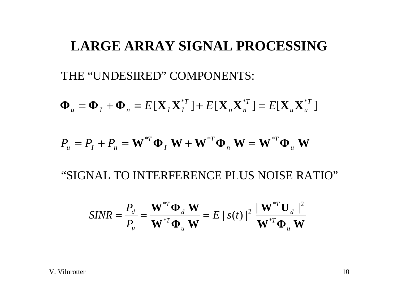THE "UNDESIRED" COMPONENTS:

$$
\mathbf{\Phi}_{u} = \mathbf{\Phi}_{I} + \mathbf{\Phi}_{n} \equiv E[\mathbf{X}_{I}\mathbf{X}_{I}^{*T}] + E[\mathbf{X}_{n}\mathbf{X}_{n}^{*T}] = E[\mathbf{X}_{u}\mathbf{X}_{u}^{*T}]
$$

$$
P_{u} = P_{I} + P_{n} = \mathbf{W}^{*T} \mathbf{\Phi}_{I} \mathbf{W} + \mathbf{W}^{*T} \mathbf{\Phi}_{n} \mathbf{W} = \mathbf{W}^{*T} \mathbf{\Phi}_{u} \mathbf{W}
$$

"SIGNAL TO INTERFERENCE PLUS NOISE RATIO"

$$
SINR = \frac{P_d}{P_u} = \frac{\mathbf{W}^{*T}\mathbf{\Phi}_d \mathbf{W}}{\mathbf{W}^{*T}\mathbf{\Phi}_u \mathbf{W}} = E |s(t)|^2 \frac{|\mathbf{W}^{*T}\mathbf{U}_d|^2}{\mathbf{W}^{*T}\mathbf{\Phi}_u \mathbf{W}}
$$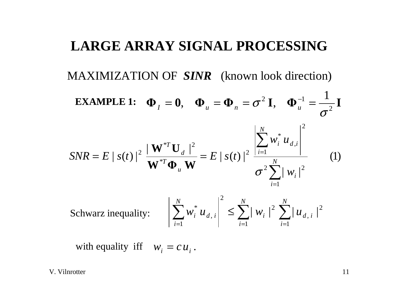MAXIMIZATION OF *SINR* (known look direction)

**EXAMPLE 1:** 
$$
\Phi_{I} = 0, \quad \Phi_{u} = \Phi_{n} = \sigma^{2} \mathbf{I}, \quad \Phi_{u}^{-1} = \frac{1}{\sigma^{2}} \mathbf{I}
$$
  
\n
$$
SNR = E |s(t)|^{2} \frac{|\mathbf{W}^{*T} \mathbf{U}_{d}|^{2}}{\mathbf{W}^{*T} \Phi_{u} \mathbf{W}} = E |s(t)|^{2} \frac{\left| \sum_{i=1}^{N} w_{i}^{*} u_{d,i} \right|^{2}}{\sigma^{2} \sum_{i=1}^{N} |w_{i}|^{2}} \qquad (1)
$$

Schwarz inequality: 
$$
\left| \sum_{i=1}^{N} w_i^* u_{d,i} \right|^2 \le \sum_{i=1}^{N} |w_i|^2 \sum_{i=1}^{N} |u_{d,i}|^2
$$

with equality iff  $w_i = c u_i$ .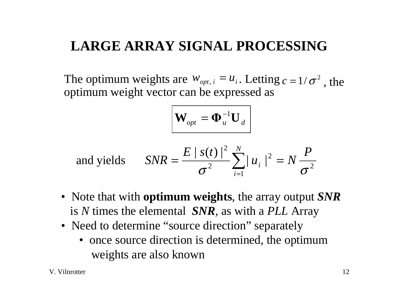The optimum weights are  $W_{opt,i} = u_i$ . Letting  $c = 1/\sigma^2$ , the optimum weight vector can be expressed as

$$
\mathbf{W}_{opt} = \mathbf{\Phi}_u^{-1} \mathbf{U}_d
$$

and yields 
$$
SNR = \frac{E |s(t)|^2}{\sigma^2} \sum_{i=1}^{N} |u_i|^2 = N \frac{P}{\sigma^2}
$$

- Note that with **optimum weights**, the array output *SNR* is *N* times the elemental *SNR,* as with a *PLL* Array
- Need to determine "source direction" separately
	- once source direction is determined, the optimum weights are also known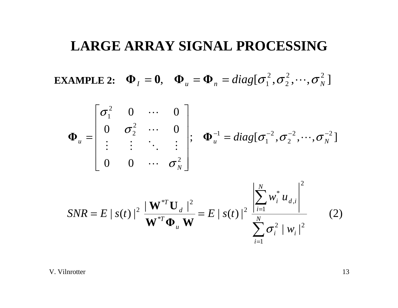**EXAMPLE 2:**  $\mathbf{\Phi}_I = \mathbf{0}$ ,  $\mathbf{\Phi}_u = \mathbf{\Phi}_n = diag[\sigma_1^2, \sigma_2^2, \cdots, \sigma_N^2]$ 

$$
\boldsymbol{\Phi}_{u} = \begin{bmatrix} \sigma_1^2 & 0 & \cdots & 0 \\ 0 & \sigma_2^2 & \cdots & 0 \\ \vdots & \vdots & \ddots & \vdots \\ 0 & 0 & \cdots & \sigma_N^2 \end{bmatrix}; \quad \boldsymbol{\Phi}_{u}^{-1} = diag[\sigma_1^{-2}, \sigma_2^{-2}, \cdots, \sigma_N^{-2}]
$$

$$
SNR = E |s(t)|^2 \frac{|\mathbf{W}^{*T}\mathbf{U}_d|^2}{\mathbf{W}^{*T}\mathbf{\Phi}_u \mathbf{W}} = E |s(t)|^2 \frac{\left|\sum_{i=1}^N w_i^* u_{d,i}\right|^2}{\sum_{i=1}^N \sigma_i^2 |w_i|^2}
$$
(2)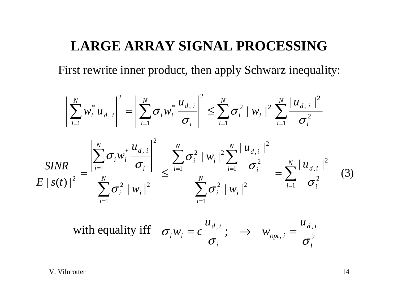First rewrite inner product, then apply Schwarz inequality:

$$
\left|\sum_{i=1}^{N} w_{i}^{*} u_{d,i}\right|^{2} = \left|\sum_{i=1}^{N} \sigma_{i} w_{i}^{*} \frac{u_{d,i}}{\sigma_{i}}\right|^{2} \leq \sum_{i=1}^{N} \sigma_{i}^{2} |w_{i}|^{2} \sum_{i=1}^{N} \frac{|u_{d,i}|^{2}}{\sigma_{i}^{2}}
$$
  

$$
\frac{SINR}{E|s(t)|^{2}} = \frac{\left|\sum_{i=1}^{N} \sigma_{i} w_{i}^{*} \frac{u_{d,i}}{\sigma_{i}}\right|^{2}}{\sum_{i=1}^{N} \sigma_{i}^{2}} \leq \frac{\sum_{i=1}^{N} \sigma_{i}^{2} |w_{i}|^{2} \sum_{i=1}^{N} \frac{|u_{d,i}|^{2}}{\sigma_{i}^{2}}}{\sigma_{i}^{2}} = \sum_{i=1}^{N} \frac{|u_{d,i}|^{2}}{\sigma_{i}^{2}} \quad (3)
$$

with equality iff 
$$
\sigma_i w_i = c \frac{u_{d,i}}{\sigma_i}
$$
;  $\rightarrow w_{opt,i} = \frac{u_{d,i}}{\sigma_i^2}$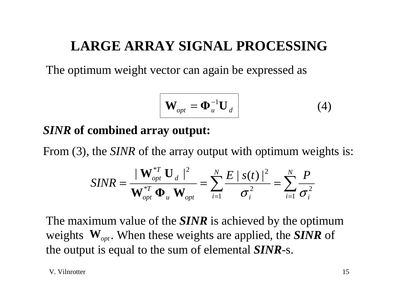The optimum weight vector can again be expressed as

$$
\mathbf{W}_{opt} = \mathbf{\Phi}_u^{-1} \mathbf{U}_d \tag{4}
$$

#### *SINR* **of combined array output:**

From (3), the *SINR* of the array output with optimum weights is:

$$
SINR = \frac{|\mathbf{W}_{opt}^{*T} \mathbf{U}_d|^2}{\mathbf{W}_{opt}^{*T} \mathbf{\Phi}_u \mathbf{W}_{opt}} = \sum_{i=1}^N \frac{E |s(t)|^2}{\sigma_i^2} = \sum_{i=1}^N \frac{P}{\sigma_i^2}
$$

The maximum value of the *SINR* is achieved by the optimum weights  $W_{opt}$ . When these weights are applied, the *SINR* of the output is equal to the sum of elemental *SINR*-s.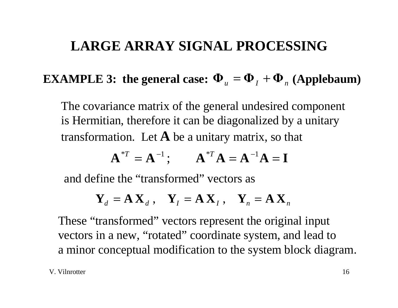## **EXAMPLE 3: the general case:**  $\Phi_u = \Phi_I + \Phi_n$  **(Applebaum)**

The covariance matrix of the general undesired component is Hermitian, therefore it can be diagonalized by a unitary transformation. Let **A** be a unitary matrix, so that

$$
A^{*T} = A^{-1}
$$
;  $A^{*T}A = A^{-1}A = I$ 

and define the "transformed" vectors as

$$
\mathbf{Y}_d = \mathbf{A} \mathbf{X}_d , \quad \mathbf{Y}_I = \mathbf{A} \mathbf{X}_I , \quad \mathbf{Y}_n = \mathbf{A} \mathbf{X}_n
$$

These "transformed" vectors represent the original input vectors in a new, "rotated" coordinate system, and lead to a minor conceptual modification to the system block diagram.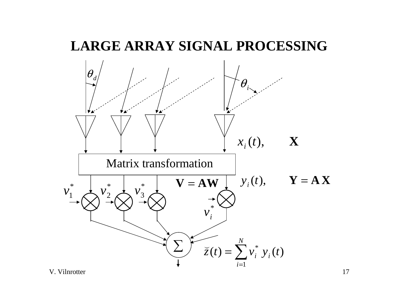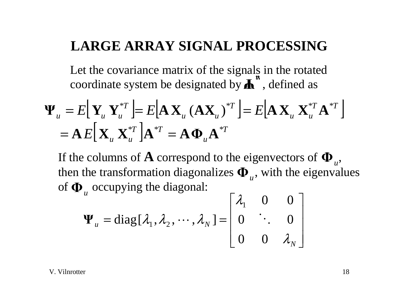Let the covariance matrix of the signals in the rotated coordinate system be designated by  $\overrightarrow{A}^n$ , defined as

$$
\mathbf{\Psi}_{u} = E[\mathbf{Y}_{u} \mathbf{Y}_{u}^{*T}] = E[\mathbf{A} \mathbf{X}_{u} (\mathbf{A} \mathbf{X}_{u})^{*T}] = E[\mathbf{A} \mathbf{X}_{u} \mathbf{X}_{u}^{*T} \mathbf{A}^{*T}]
$$

$$
= \mathbf{A} E[\mathbf{X}_{u} \mathbf{X}_{u}^{*T}] \mathbf{A}^{*T} = \mathbf{A} \mathbf{\Phi}_{u} \mathbf{A}^{*T}
$$

If the columns of  ${\bf A}$  correspond to the eigenvectors of  ${\bf \Phi}_u,$ then the transformation diagonalizes  $\boldsymbol{\Phi}_{u}$ , with the eigenvalues of  $\mathbf{\Phi}_u$  occupying the diagonal:

$$
\mathbf{\Psi}_{u} = \text{diag}[\lambda_1, \lambda_2, \cdots, \lambda_N] = \begin{bmatrix} \lambda_1 & 0 & 0 \\ 0 & \ddots & 0 \\ 0 & 0 & \lambda_N \end{bmatrix}
$$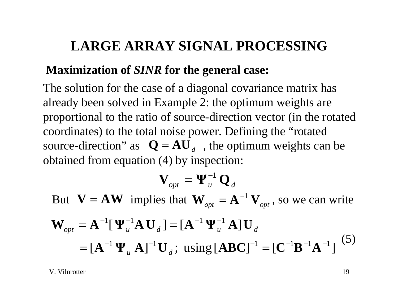#### **Maximization of** *SINR* **for the general case:**

The solution for the case of a diagonal covariance matrix has already been solved in Example 2: the optimum weights are proportional to the ratio of source-direction vector (in the rotated coordinates) to the total noise power. Defining the "rotated source-direction" as  $Q = AU_d$ , the optimum weights can be obtained from equation (4) by inspection:

$$
\mathbf{V}_{opt} = \mathbf{\Psi}_u^{-1} \, \mathbf{Q}_d
$$

 $\mathbf{V} = \mathbf{A}\mathbf{W}$ But  $V = AW$  implies that  $W_{opt} = A^{-1} V_{opt}$ , so we can write  $=[{\bf A}^{-1} {\bf \Psi}_u {\bf A}]^{-1} {\bf U}_d;$  using  $[{\bf ABC}]^{-1} = [{\bf C}^{-1} {\bf B}^{-1} {\bf A}^{-1}]$  ${\bf W}_{\rm opt} = {\bf A}^{-1} [{\bf \Psi}_{\rm u}^{-1} {\bf A} {\bf U}_{\rm d}] = [{\bf A}^{-1} {\bf \Psi}_{\rm u}^{-1} {\bf A}] {\bf U}_{\rm d}$  $\omega_{\textit{opt}}$   $\mathbf{u}$   $\mathbf{u}$   $\mathbf{u}$   $\mathbf{v}$   $\mathbf{d}$   $\mathbf{v}$   $\mathbf{d}$   $\mathbf{u}$   $\mathbf{u}$   $\mathbf{u}$   $\mathbf{v}$ (5)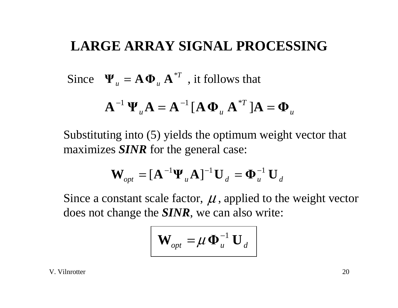Since  $\Psi_u = \mathbf{A} \mathbf{\Phi}_u \mathbf{A}^{*T}$ , it follows that

$$
\mathbf{A}^{-1}\mathbf{\Psi}_{u}\mathbf{A} = \mathbf{A}^{-1}[\mathbf{A}\mathbf{\Phi}_{u}\mathbf{A}^{*T}]\mathbf{A} = \mathbf{\Phi}_{u}
$$

Substituting into (5) yields the optimum weight vector that maximizes *SINR* for the general case:

$$
\mathbf{W}_{opt} = [\mathbf{A}^{-1} \mathbf{\Psi}_u \mathbf{A}]^{-1} \mathbf{U}_d = \mathbf{\Phi}_u^{-1} \mathbf{U}_d
$$

Since a constant scale factor,  $\mu$ , applied to the weight vector does not change the *SINR*, we can also write:

$$
\mathbf{W}_{opt} = \boldsymbol{\mu} \boldsymbol{\Phi}_u^{-1} \mathbf{U}_d
$$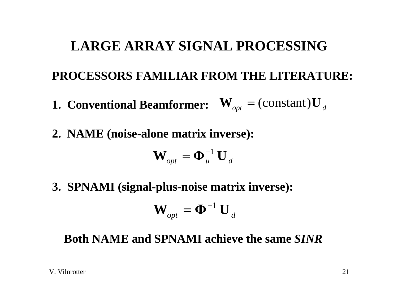# **LARGE ARRAY SIGNAL PROCESSINGPROCESSORS FAMILIAR FROM THE LITERATURE: 1. Conventional Beamformer:**  $\mathbf{W}_{opt} = ( \text{constant} ) \mathbf{U}_{d}$ **2. NAME (noise-alone matrix inverse):**

$$
\mathbf{W}_{opt} = \mathbf{\Phi}_u^{-1} \, \mathbf{U}_d
$$

**3. SPNAMI (signal-plus-noise matrix inverse):**

$$
\mathbf{W}_{opt} = \mathbf{\Phi}^{-1} \, \mathbf{U}_d
$$

#### **Both NAME and SPNAMI achieve the same** *SINR*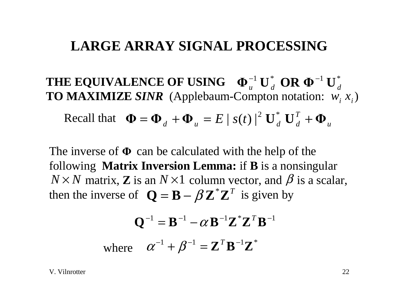$\mathbf{THE} \textbf{ EQUIVALENCE} \textbf{ OF } \textbf{USING} \quad \boldsymbol{\Phi}_{u}^{-1} \textbf{ U}_{d}^{*} \textbf{ OR } \boldsymbol{\Phi}^{-1} \textbf{ U}_{d}^{*}$ **TO MAXIMIZE SINR** (Applebaum-Compton notation:  $w_i x_i$ )

Recall that 
$$
\mathbf{\Phi} = \mathbf{\Phi}_d + \mathbf{\Phi}_u = E |s(t)|^2 \mathbf{U}_d^* \mathbf{U}_d^T + \mathbf{\Phi}_u
$$

The inverse of  $\Phi$  can be calculated with the help of the following **Matrix Inversion Lemma:** if **B** is a nonsingular  $N \times N$  matrix, **Z** is an  $N \times 1$  column vector, and  $\beta$  is a scalar, then the inverse of  $Q = B - \beta Z^* Z^T$  is given by

$$
\mathbf{Q}^{-1} = \mathbf{B}^{-1} - \alpha \mathbf{B}^{-1} \mathbf{Z}^* \mathbf{Z}^T \mathbf{B}^{-1}
$$

where  $\alpha^{-1} + \beta^{-1} = \mathbf{Z}^T \mathbf{B}^{-1} \mathbf{Z}^*$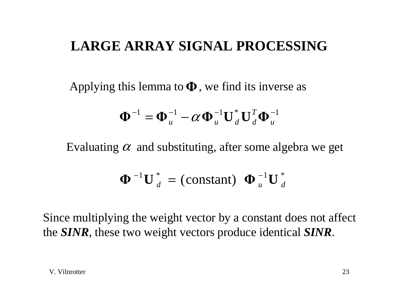Applying this lemma to  $\Phi$ , we find its inverse as

$$
\mathbf{\Phi}^{-1} = \mathbf{\Phi}_u^{-1} - \alpha \mathbf{\Phi}_u^{-1} \mathbf{U}_d^* \mathbf{U}_d^T \mathbf{\Phi}_u^{-1}
$$

Evaluating  $\alpha$  and substituting, after some algebra we get

$$
\mathbf{\Phi}^{-1}\mathbf{U}_{d}^{*}=(\text{constant})\ \mathbf{\Phi}_{u}^{-1}\mathbf{U}_{d}^{*}
$$

Since multiplying the weight vector by a constant does not affect the *SINR*, these two weight vectors produce identical *SINR*.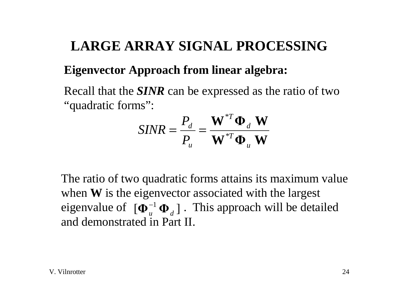#### **Eigenvector Approach from linear algebra:**

Recall that the *SINR* can be expressed as the ratio of two "quadratic forms":

$$
SINR = \frac{P_d}{P_u} = \frac{\mathbf{W}^{*T} \mathbf{\Phi}_d \mathbf{W}}{\mathbf{W}^{*T} \mathbf{\Phi}_u \mathbf{W}}
$$

The ratio of two quadratic forms attains its maximum value when **W** is the eigenvector associated with the largest eigenvalue of  $[\mathbf{\Phi}_u^{-1} \mathbf{\Phi}_d]$ . This approach will be detailed and demonstrated in Part II.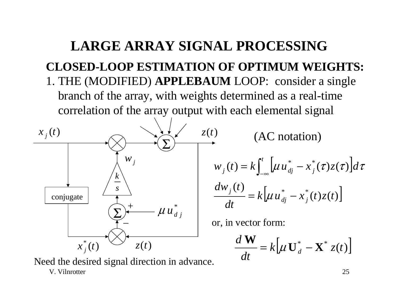## **LARGE ARRAY SIGNAL PROCESSINGCLOSED-LOOP ESTIMATION OF OPTIMUM WEIGHTS:** 1. THE (MODIFIED) **APPLEBAUM** LOOP: consider a single branch of the array, with weights determined as a real-time correlation of the array output with each elemental signal



Need the desired signal direction in advance.

V. Vilnrotter

 $\mathcal{L}(t) = k \int_0^t \left[ \mu u_{di}^* - x_i^* (\tau) z(\tau) \right]$  $\frac{(t)}{t} = k \left[ \mu u_{di}^* - x_i^* (t) z(t) \right]$ \* \*  $dw$  <u>t</u>  $w_i(t) = k$   $\mu u_{di} - x_i(\tau) z(\tau) d$ *j t*  $\mathcal{L}_j(t) = \mathcal{K} \int_{-\infty}^{\infty} \left[ \mu u_{dj} - x_j \right]$ = $= k \int_{-\infty}^{t} \left[ \mu u_{dj}^{*} - x_j^{*}(\tau) z(\tau) \right] d\tau$ 

(AC notation)

$$
\frac{d w_j(t)}{dt} = k \Big[ \mu u_{dj}^* - x_j^*(t) z(t) \Big]
$$

or, in vector form:

$$
\frac{d\mathbf{W}}{dt} = k \big[ \mu \mathbf{U}_d^* - \mathbf{X}^* z(t) \big]
$$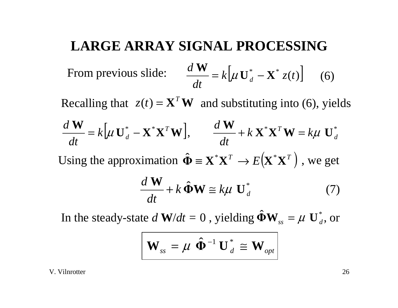From previous slide: 
$$
\frac{d \mathbf{W}}{dt} = k \left[ \mu \mathbf{U}_d^* - \mathbf{X}^* z(t) \right] \quad (6)
$$

Recalling that  $z(t) = \mathbf{X}^T \mathbf{W}$  and substituting into (6), yields

$$
\frac{d\mathbf{W}}{dt} = k[\mu \mathbf{U}_d^* - \mathbf{X}^* \mathbf{X}^T \mathbf{W}], \qquad \frac{d\mathbf{W}}{dt} + k \mathbf{X}^* \mathbf{X}^T \mathbf{W} = k\mu \mathbf{U}_d^*
$$
  
Using the approximation  $\hat{\Phi} = \mathbf{X}^* \mathbf{X}^T \rightarrow E(\mathbf{X}^* \mathbf{X}^T)$ , we get  

$$
\frac{d\mathbf{W}}{dt} + k \hat{\Phi} \mathbf{W} \cong k\mu \mathbf{U}_d^*
$$
(7)

In the steady-state  $d \mathbf{W}/dt = 0$  , yielding  $\hat{\Phi} \mathbf{W}_{ss} = \mu \mathbf{U}_{d}^{*}$ , or

$$
\mathbf{W}_{ss} = \boldsymbol{\mu} \, \hat{\boldsymbol{\Phi}}^{-1} \, \mathbf{U}_{d}^{*} \cong \mathbf{W}_{opt}
$$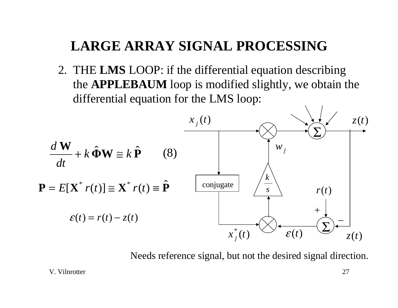2. THE **LMS** LOOP: if the differential equation describing the **APPLEBAUM** loop is modified slightly, we obtain the differential equation for the LMS loop:



Needs reference signal, but not the desired signal direction.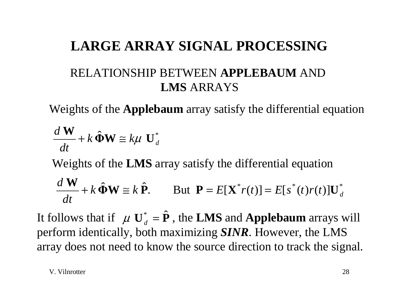# **LARGE ARRAY SIGNAL PROCESSING**RELATIONSHIP BETWEEN **APPLEBAUM** AND **LMS** ARRAYS

Weights of the **Applebaum** array satisfy the differential equation

$$
\frac{d\mathbf{W}}{dt} + k\hat{\mathbf{\Phi}}\mathbf{W} \cong k\mu \mathbf{U}_d^*
$$

Weights of the **LMS** array satisfy the differential equation

$$
\frac{d\mathbf{W}}{dt} + k\hat{\mathbf{\Phi}}\mathbf{W} \cong k\hat{\mathbf{P}}.\qquad \text{But }\mathbf{P} = E[\mathbf{X}^*r(t)] = E[s^*(t)r(t)]\mathbf{U}_d^*
$$

It follows that if  $\mu U_d^* = \hat{P}$ , the LMS and Applebaum arrays will perform identically, both maximizing *SINR*. However, the LMS array does not need to know the source direction to track the signal.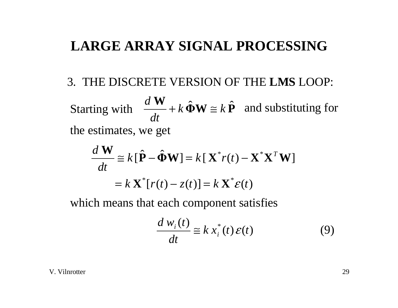#### 3. THE DISCRETE VERSION OF THE **LMS** LOOP:

 $\frac{\mathbf{W}}{A} + k \, \hat{\mathbf{\Phi}} \mathbf{W} \cong k \, \hat{\mathbf{P}}$ *dt d*Starting with  $\frac{a \cdot v}{b} + k \Phi W \cong k P$  and substituting for the estimates, we get

$$
\frac{d \mathbf{W}}{dt} \cong k[\hat{\mathbf{P}} - \hat{\mathbf{\Phi}} \mathbf{W}] = k[\mathbf{X}^* r(t) - \mathbf{X}^* \mathbf{X}^T \mathbf{W}]
$$

$$
= k \mathbf{X}^* [r(t) - z(t)] = k \mathbf{X}^* \varepsilon(t)
$$

which means that each component satisfies

$$
\frac{d w_i(t)}{dt} \equiv k x_i^*(t) \varepsilon(t)
$$
 (9)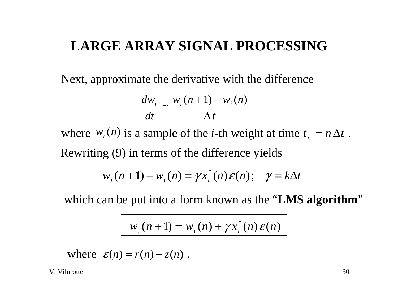Next, approximate the derivative with the difference

$$
\frac{dw_i}{dt} \cong \frac{w_i(n+1) - w_i(n)}{\Delta t}
$$

where  $W_i(n)$  is a sample of the *i*-th weight at time  $t_n = n \Delta t$ . Rewriting (9) in terms of the difference yields

$$
w_i(n+1) - w_i(n) = \gamma x_i^*(n) \varepsilon(n); \quad \gamma \equiv k \Delta t
$$

which can be put into a form known as the "**LMS algorithm**"

$$
w_i(n+1) = w_i(n) + \gamma x_i^*(n) \varepsilon(n)
$$

where  $\varepsilon(n) = r(n) - z(n)$ .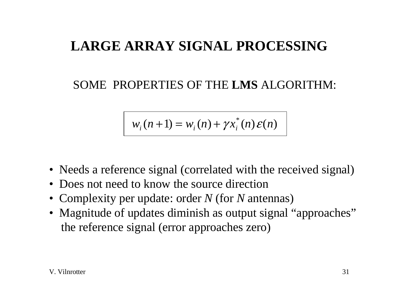#### SOME PROPERTIES OF THE **LMS** ALGORITHM:

$$
w_i(n+1) = w_i(n) + \gamma x_i^*(n) \varepsilon(n)
$$

- Needs a reference signal (correlated with the received signal)
- Does not need to know the source direction
- Complexity per update: order *N* (for *N* antennas)
- Magnitude of updates diminish as output signal "approaches" the reference signal (error approaches zero)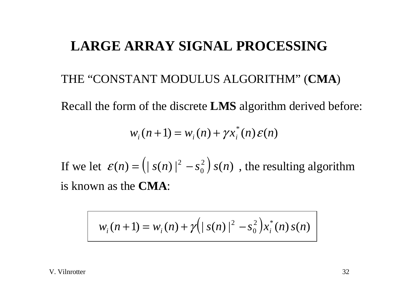#### THE "CONSTANT MODULUS ALGORITHM" (**CMA**)

Recall the form of the discrete **LMS** algorithm derived before:

$$
w_i(n+1) = w_i(n) + \gamma x_i^*(n) \mathcal{E}(n)
$$

If we let  $\varepsilon(n) = ( | s(n) |^2 - s_0^2) s(n)$ , the resulting algorithm is known as the **CMA**:

$$
w_i(n+1) = w_i(n) + \gamma \Big(|s(n)|^2 - s_0^2\Big) x_i^*(n) s(n)
$$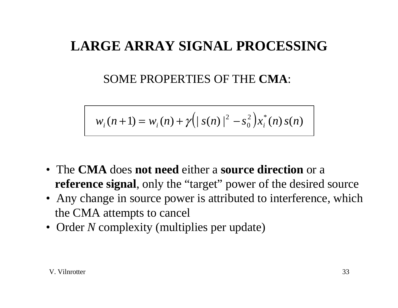#### SOME PROPERTIES OF THE **CMA**:

$$
w_i(n+1) = w_i(n) + \gamma (|s(n)|^2 - s_0^2) x_i^*(n) s(n)
$$

- The **CMA** does **not need** either a **source direction** or a **reference signal**, only the "target" power of the desired source
- Any change in source power is attributed to interference, which the CMA attempts to cancel
- Order *N* complexity (multiplies per update)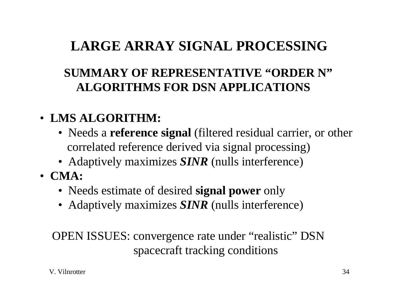## **SUMMARY OF REPRESENTATIVE "ORDER N" ALGORITHMS FOR DSN APPLICATIONS**

## • **LMS ALGORITHM:**

- Needs a **reference signal** (filtered residual carrier, or other correlated reference derived via signal processing)
- Adaptively maximizes *SINR* (nulls interference)
- **CMA:**
	- Needs estimate of desired **signal power** only
	- Adaptively maximizes *SINR* (nulls interference)

OPEN ISSUES: convergence rate under "realistic" DSN spacecraft tracking conditions